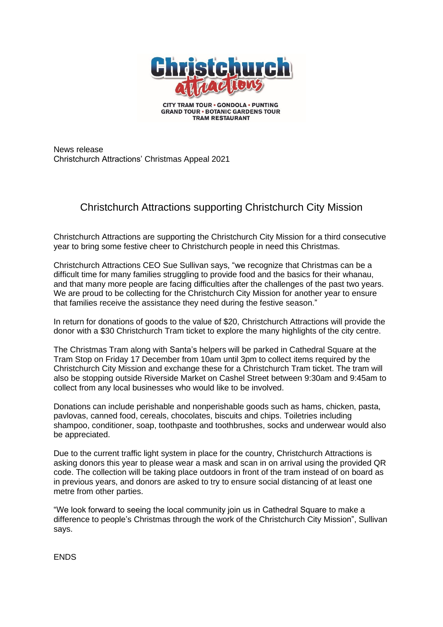

**GRAND TOUR . BOTANIC GARDENS TOUR TRAM RESTAURANT** 

News release Christchurch Attractions' Christmas Appeal 2021

## Christchurch Attractions supporting Christchurch City Mission

Christchurch Attractions are supporting the Christchurch City Mission for a third consecutive year to bring some festive cheer to Christchurch people in need this Christmas.

Christchurch Attractions CEO Sue Sullivan says, "we recognize that Christmas can be a difficult time for many families struggling to provide food and the basics for their whanau, and that many more people are facing difficulties after the challenges of the past two years. We are proud to be collecting for the Christchurch City Mission for another year to ensure that families receive the assistance they need during the festive season."

In return for donations of goods to the value of \$20, Christchurch Attractions will provide the donor with a \$30 Christchurch Tram ticket to explore the many highlights of the city centre.

The Christmas Tram along with Santa's helpers will be parked in Cathedral Square at the Tram Stop on Friday 17 December from 10am until 3pm to collect items required by the Christchurch City Mission and exchange these for a Christchurch Tram ticket. The tram will also be stopping outside Riverside Market on Cashel Street between 9:30am and 9:45am to collect from any local businesses who would like to be involved.

Donations can include perishable and nonperishable goods such as hams, chicken, pasta, pavlovas, canned food, cereals, chocolates, biscuits and chips. Toiletries including shampoo, conditioner, soap, toothpaste and toothbrushes, socks and underwear would also be appreciated.

Due to the current traffic light system in place for the country, Christchurch Attractions is asking donors this year to please wear a mask and scan in on arrival using the provided QR code. The collection will be taking place outdoors in front of the tram instead of on board as in previous years, and donors are asked to try to ensure social distancing of at least one metre from other parties.

"We look forward to seeing the local community join us in Cathedral Square to make a difference to people's Christmas through the work of the Christchurch City Mission", Sullivan says.

ENDS